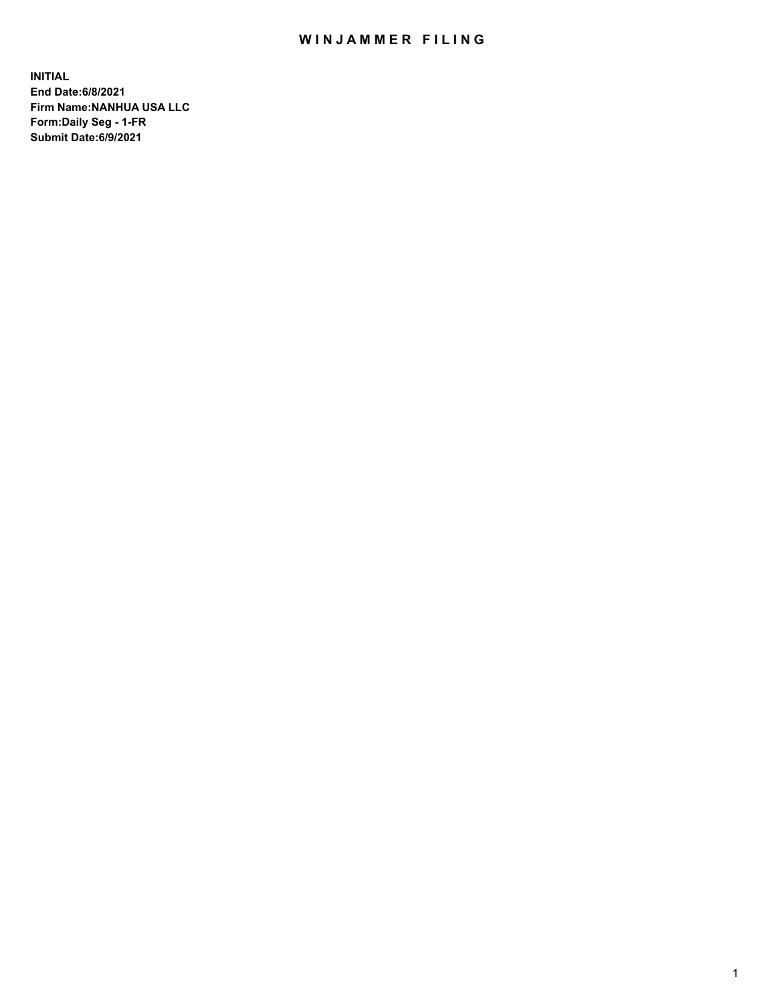## WIN JAMMER FILING

**INITIAL End Date:6/8/2021 Firm Name:NANHUA USA LLC Form:Daily Seg - 1-FR Submit Date:6/9/2021**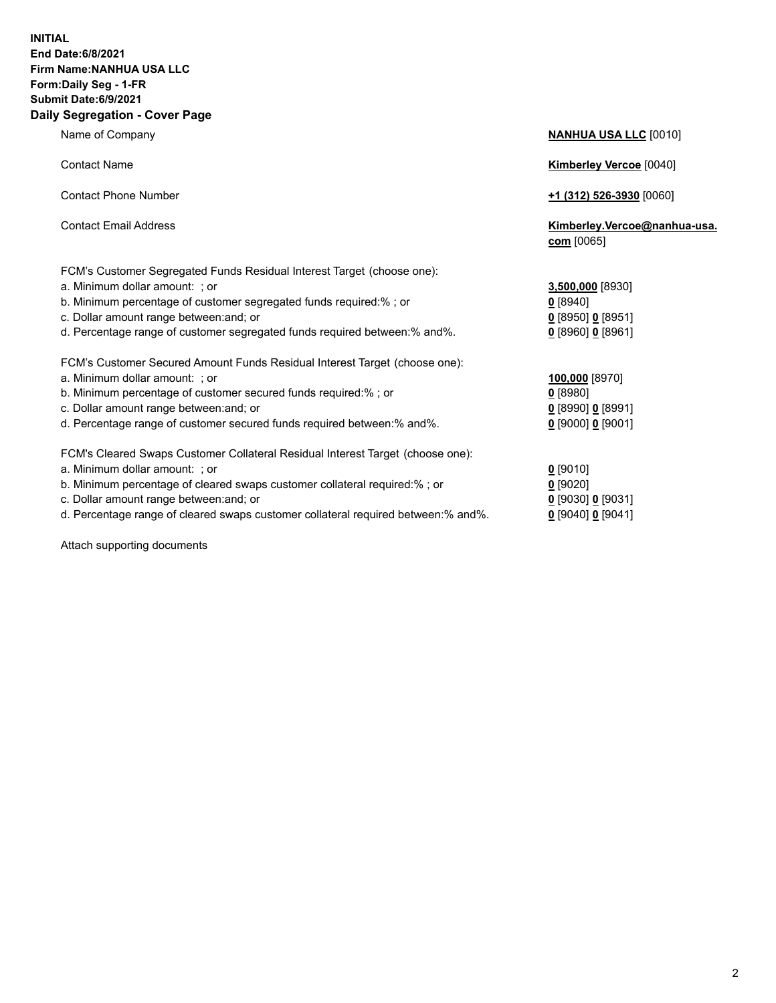## **INITIAL End Date:6/8/2021 Firm Name:NANHUA USA LLC Form:Daily Seg - 1-FR Submit Date:6/9/2021 Daily Segregation - Cover Page**

Name of Company **NANHUA USA LLC** [0010] Contact Name **Kimberley Vercoe** [0040] Contact Phone Number **+1 (312) 526-3930** [0060] Contact Email Address **Kimberley.Vercoe@nanhua-usa. com** [0065] FCM's Customer Segregated Funds Residual Interest Target (choose one): a. Minimum dollar amount: ; or **3,500,000** [8930] b. Minimum percentage of customer segregated funds required:% ; or **0** [8940] c. Dollar amount range between:and; or **0** [8950] **0** [8951] d. Percentage range of customer segregated funds required between:% and%. **0** [8960] **0** [8961] FCM's Customer Secured Amount Funds Residual Interest Target (choose one): a. Minimum dollar amount: ; or b. Minimum percentage of cust c. Dollar amount range betwee d. Percentage range of custom FCM's Cleared Swaps Custom a. Minimum dollar amount: ; o b. Minimum percentage of clear c. Dollar amount range betwee

d. Percentage range of cleared

Attach supporting documents

|                                                      | 100,000 [8970]      |  |
|------------------------------------------------------|---------------------|--|
| tomer secured funds required:% ; or                  | $0$ [8980]          |  |
| en:and; or                                           | $0$ [8990] 0 [8991] |  |
| ner secured funds required between:% and%.           | $0$ [9000] 0 [9001] |  |
| er Collateral Residual Interest Target (choose one): |                     |  |
| ۱r                                                   | $0$ [9010]          |  |
| ared swaps customer collateral required:% ; or       | $0$ [9020]          |  |
| en:and; or                                           | $0$ [9030] 0 [9031] |  |
| d swaps customer collateral required between:% and%. | $0$ [9040] 0 [9041] |  |
|                                                      |                     |  |
|                                                      |                     |  |
|                                                      |                     |  |
|                                                      |                     |  |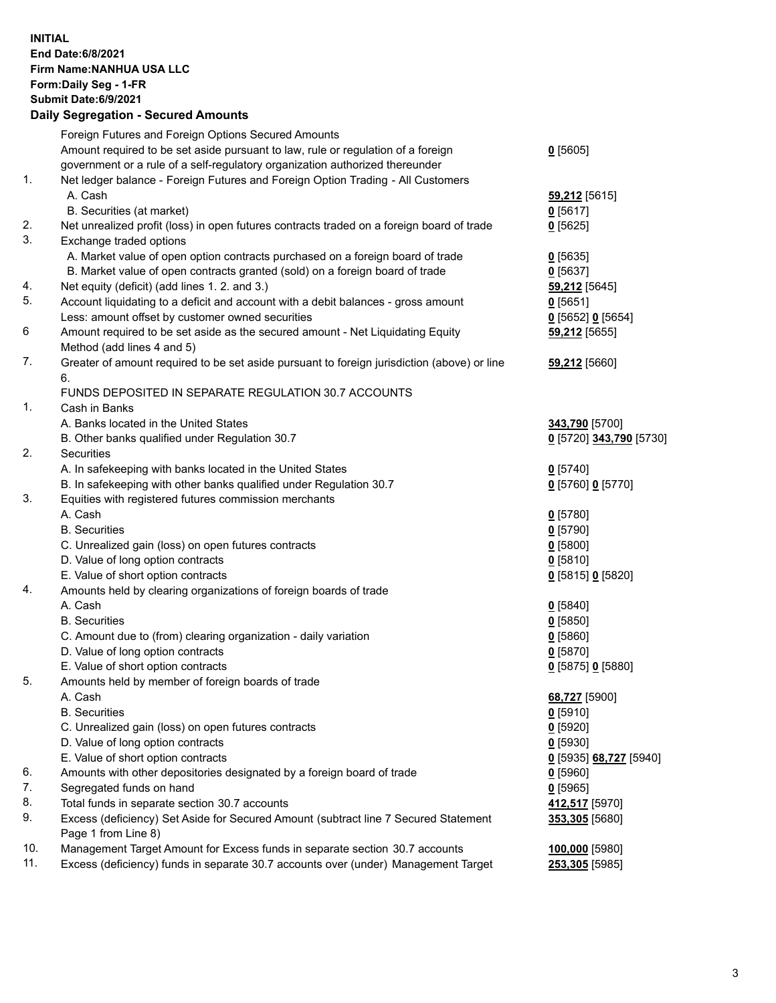## **INITIAL End Date:6/8/2021 Firm Name:NANHUA USA LLC Form:Daily Seg - 1-FR Submit Date:6/9/2021 Daily Segregation - Secured Amounts**

|     | Foreign Futures and Foreign Options Secured Amounts                                         |                         |
|-----|---------------------------------------------------------------------------------------------|-------------------------|
|     | Amount required to be set aside pursuant to law, rule or regulation of a foreign            | $0$ [5605]              |
|     | government or a rule of a self-regulatory organization authorized thereunder                |                         |
| 1.  | Net ledger balance - Foreign Futures and Foreign Option Trading - All Customers             |                         |
|     | A. Cash                                                                                     | 59,212 [5615]           |
|     | B. Securities (at market)                                                                   | $0$ [5617]              |
| 2.  | Net unrealized profit (loss) in open futures contracts traded on a foreign board of trade   | $0$ [5625]              |
| 3.  | Exchange traded options                                                                     |                         |
|     | A. Market value of open option contracts purchased on a foreign board of trade              | $0$ [5635]              |
|     | B. Market value of open contracts granted (sold) on a foreign board of trade                | $0$ [5637]              |
| 4.  | Net equity (deficit) (add lines 1.2. and 3.)                                                | 59,212 [5645]           |
| 5.  | Account liquidating to a deficit and account with a debit balances - gross amount           | $0$ [5651]              |
|     | Less: amount offset by customer owned securities                                            | $0$ [5652] $0$ [5654]   |
| 6   | Amount required to be set aside as the secured amount - Net Liquidating Equity              | 59,212 [5655]           |
|     | Method (add lines 4 and 5)                                                                  |                         |
| 7.  | Greater of amount required to be set aside pursuant to foreign jurisdiction (above) or line | 59,212 [5660]           |
|     | 6.                                                                                          |                         |
|     | FUNDS DEPOSITED IN SEPARATE REGULATION 30.7 ACCOUNTS                                        |                         |
| 1.  | Cash in Banks                                                                               |                         |
|     | A. Banks located in the United States                                                       | 343,790 [5700]          |
|     | B. Other banks qualified under Regulation 30.7                                              | 0 [5720] 343,790 [5730] |
| 2.  | Securities                                                                                  |                         |
|     | A. In safekeeping with banks located in the United States                                   | $0$ [5740]              |
|     | B. In safekeeping with other banks qualified under Regulation 30.7                          | 0 [5760] 0 [5770]       |
| 3.  | Equities with registered futures commission merchants                                       |                         |
|     | A. Cash                                                                                     | $0$ [5780]              |
|     | <b>B.</b> Securities                                                                        | $0$ [5790]              |
|     | C. Unrealized gain (loss) on open futures contracts                                         | $0$ [5800]              |
|     | D. Value of long option contracts                                                           | $0$ [5810]              |
|     | E. Value of short option contracts                                                          | 0 [5815] 0 [5820]       |
| 4.  | Amounts held by clearing organizations of foreign boards of trade                           |                         |
|     | A. Cash                                                                                     | $0$ [5840]              |
|     | <b>B.</b> Securities                                                                        | $0$ [5850]              |
|     | C. Amount due to (from) clearing organization - daily variation                             | $0$ [5860]              |
|     | D. Value of long option contracts<br>E. Value of short option contracts                     | $0$ [5870]              |
| 5.  | Amounts held by member of foreign boards of trade                                           | 0 [5875] 0 [5880]       |
|     | A. Cash                                                                                     | 68,727 [5900]           |
|     | <b>B.</b> Securities                                                                        | 0 <sup>[5910]</sup>     |
|     | C. Unrealized gain (loss) on open futures contracts                                         | $0$ [5920]              |
|     | D. Value of long option contracts                                                           | $0$ [5930]              |
|     | E. Value of short option contracts                                                          | 0 [5935] 68,727 [5940]  |
| 6.  | Amounts with other depositories designated by a foreign board of trade                      | $0$ [5960]              |
| 7.  | Segregated funds on hand                                                                    | $0$ [5965]              |
| 8.  | Total funds in separate section 30.7 accounts                                               | 412,517 [5970]          |
| 9.  | Excess (deficiency) Set Aside for Secured Amount (subtract line 7 Secured Statement         | 353,305 [5680]          |
|     | Page 1 from Line 8)                                                                         |                         |
| 10. | Management Target Amount for Excess funds in separate section 30.7 accounts                 | 100,000 [5980]          |
| 11. | Excess (deficiency) funds in separate 30.7 accounts over (under) Management Target          | 253,305 [5985]          |
|     |                                                                                             |                         |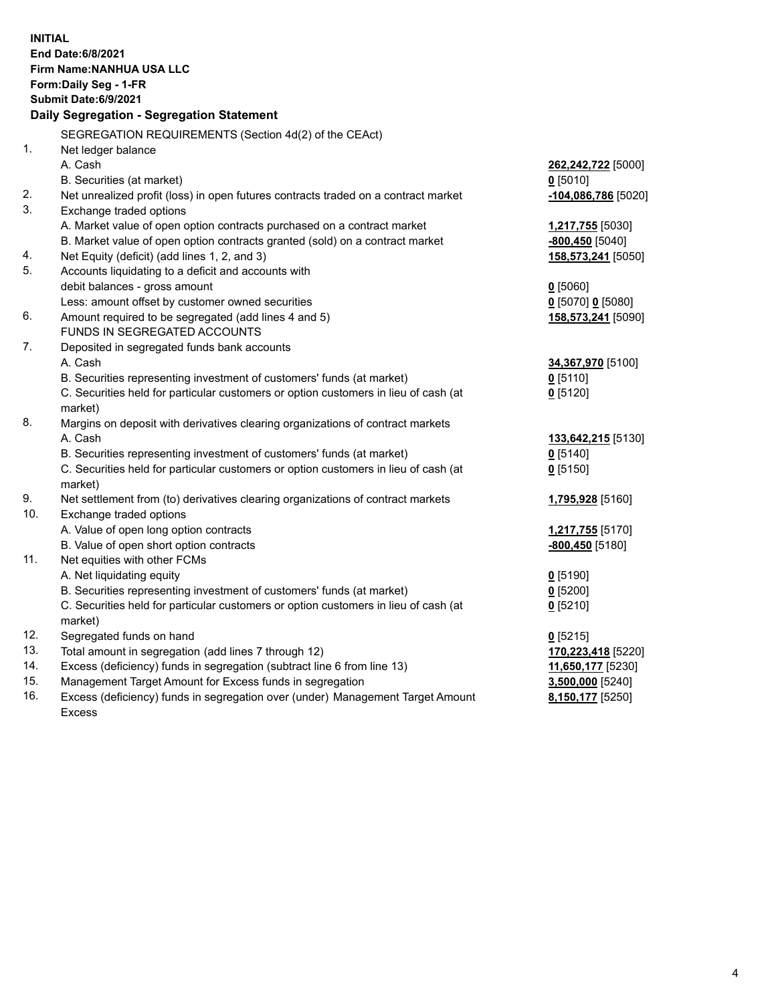| <b>INITIAL</b> | <b>End Date:6/8/2021</b><br>Firm Name: NANHUA USA LLC<br>Form: Daily Seg - 1-FR<br><b>Submit Date:6/9/2021</b><br>Daily Segregation - Segregation Statement |                           |
|----------------|-------------------------------------------------------------------------------------------------------------------------------------------------------------|---------------------------|
|                | SEGREGATION REQUIREMENTS (Section 4d(2) of the CEAct)                                                                                                       |                           |
| 1.             | Net ledger balance                                                                                                                                          |                           |
|                | A. Cash                                                                                                                                                     | 262,242,722 [5000]        |
|                | B. Securities (at market)                                                                                                                                   | $0$ [5010]                |
| 2.             | Net unrealized profit (loss) in open futures contracts traded on a contract market                                                                          | -104,086,786 [5020]       |
| 3.             | Exchange traded options                                                                                                                                     |                           |
|                | A. Market value of open option contracts purchased on a contract market                                                                                     | 1,217,755 [5030]          |
|                | B. Market value of open option contracts granted (sold) on a contract market                                                                                | $-800,450$ [5040]         |
| 4.             | Net Equity (deficit) (add lines 1, 2, and 3)                                                                                                                | 158,573,241 [5050]        |
| 5.             | Accounts liquidating to a deficit and accounts with                                                                                                         |                           |
|                | debit balances - gross amount                                                                                                                               | $0$ [5060]                |
|                | Less: amount offset by customer owned securities                                                                                                            | $0$ [5070] 0 [5080]       |
| 6.             | Amount required to be segregated (add lines 4 and 5)                                                                                                        | 158,573,241 [5090]        |
|                | FUNDS IN SEGREGATED ACCOUNTS                                                                                                                                |                           |
| 7.             | Deposited in segregated funds bank accounts                                                                                                                 |                           |
|                | A. Cash                                                                                                                                                     | 34,367,970 [5100]         |
|                | B. Securities representing investment of customers' funds (at market)                                                                                       | $0$ [5110]                |
|                | C. Securities held for particular customers or option customers in lieu of cash (at                                                                         | $0$ [5120]                |
| 8.             | market)<br>Margins on deposit with derivatives clearing organizations of contract markets                                                                   |                           |
|                | A. Cash                                                                                                                                                     | <b>133,642,215</b> [5130] |
|                | B. Securities representing investment of customers' funds (at market)                                                                                       | $0$ [5140]                |
|                | C. Securities held for particular customers or option customers in lieu of cash (at                                                                         | $0$ [5150]                |
|                | market)                                                                                                                                                     |                           |
| 9.             | Net settlement from (to) derivatives clearing organizations of contract markets                                                                             | 1,795,928 [5160]          |
| 10.            | Exchange traded options                                                                                                                                     |                           |
|                | A. Value of open long option contracts                                                                                                                      | 1,217,755 [5170]          |
|                | B. Value of open short option contracts                                                                                                                     | $-800,450$ [5180]         |
| 11.            | Net equities with other FCMs                                                                                                                                |                           |
|                | A. Net liquidating equity                                                                                                                                   | $0$ [5190]                |
|                | B. Securities representing investment of customers' funds (at market)                                                                                       | $0$ [5200]                |
|                | C. Securities held for particular customers or option customers in lieu of cash (at                                                                         | $0$ [5210]                |
|                | market)                                                                                                                                                     |                           |
| 12.            | Segregated funds on hand                                                                                                                                    | $0$ [5215]                |
| 13.            | Total amount in segregation (add lines 7 through 12)                                                                                                        | 170,223,418 [5220]        |
| 14.            | Excess (deficiency) funds in segregation (subtract line 6 from line 13)                                                                                     | 11,650,177 [5230]         |
| 15.            | Management Target Amount for Excess funds in segregation                                                                                                    | 3,500,000 [5240]          |
| 16.            | Excess (deficiency) funds in segregation over (under) Management Target Amount                                                                              | 8,150,177 [5250]          |
|                | <b>Excess</b>                                                                                                                                               |                           |